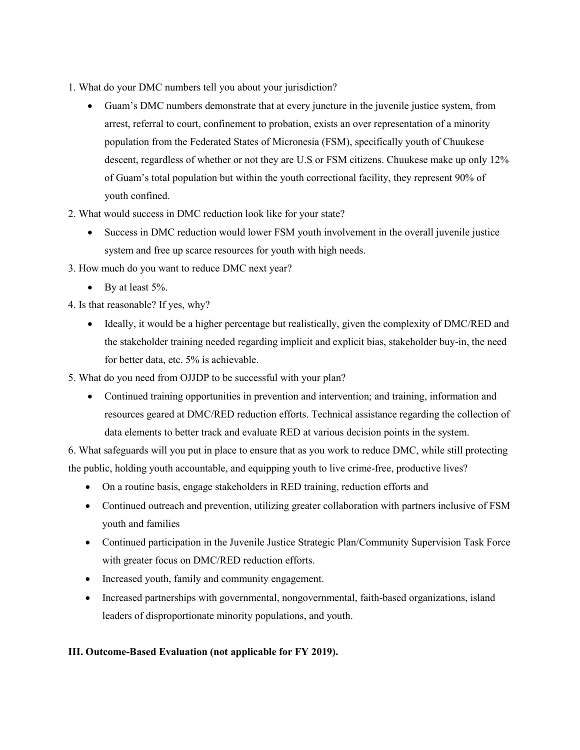- 1. What do your DMC numbers tell you about your jurisdiction?
	- Guam's DMC numbers demonstrate that at every juncture in the juvenile justice system, from arrest, referral to court, confinement to probation, exists an over representation of a minority population from the Federated States of Micronesia (FSM), specifically youth of Chuukese descent, regardless of whether or not they are U.S or FSM citizens. Chuukese make up only 12% of Guam's total population but within the youth correctional facility, they represent 90% of youth confined.
- 2. What would success in DMC reduction look like for your state?
	- Success in DMC reduction would lower FSM youth involvement in the overall juvenile justice system and free up scarce resources for youth with high needs.
- 3. How much do you want to reduce DMC next year?
	- By at least  $5\%$ .
- 4. Is that reasonable? If yes, why?
	- Ideally, it would be a higher percentage but realistically, given the complexity of DMC/RED and the stakeholder training needed regarding implicit and explicit bias, stakeholder buy-in, the need for better data, etc. 5% is achievable.
- 5. What do you need from OJJDP to be successful with your plan?
	- Continued training opportunities in prevention and intervention; and training, information and resources geared at DMC/RED reduction efforts. Technical assistance regarding the collection of data elements to better track and evaluate RED at various decision points in the system.

6. What safeguards will you put in place to ensure that as you work to reduce DMC, while still protecting the public, holding youth accountable, and equipping youth to live crime-free, productive lives?

- On a routine basis, engage stakeholders in RED training, reduction efforts and
- Continued outreach and prevention, utilizing greater collaboration with partners inclusive of FSM youth and families
- Continued participation in the Juvenile Justice Strategic Plan/Community Supervision Task Force with greater focus on DMC/RED reduction efforts.
- Increased youth, family and community engagement.
- Increased partnerships with governmental, nongovernmental, faith-based organizations, island leaders of disproportionate minority populations, and youth.

## **III. Outcome-Based Evaluation (not applicable for FY 2019).**